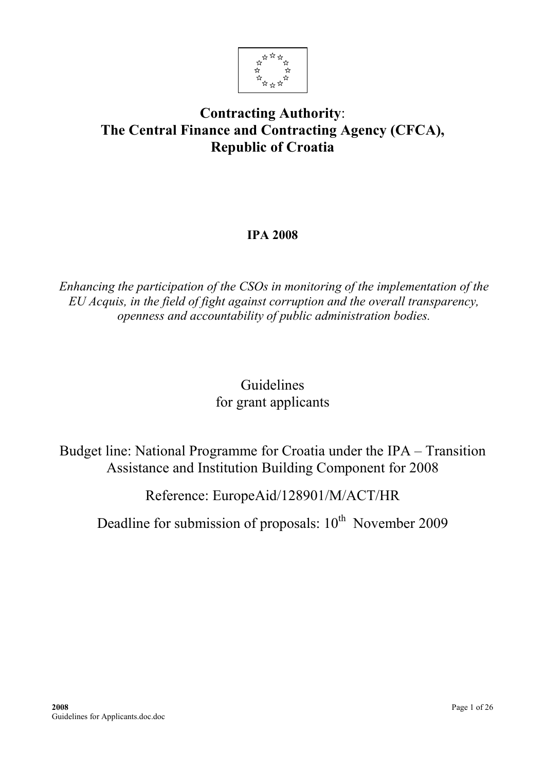

# Contracting Authority: The Central Finance and Contracting Agency (CFCA), Republic of Croatia

# IPA 2008

Enhancing the participation of the CSOs in monitoring of the implementation of the EU Acquis, in the field of fight against corruption and the overall transparency, openness and accountability of public administration bodies.

# Guidelines for grant applicants

Budget line: National Programme for Croatia under the IPA – Transition Assistance and Institution Building Component for 2008

Reference: EuropeAid/128901/M/ACT/HR

Deadline for submission of proposals:  $10^{th}$  November 2009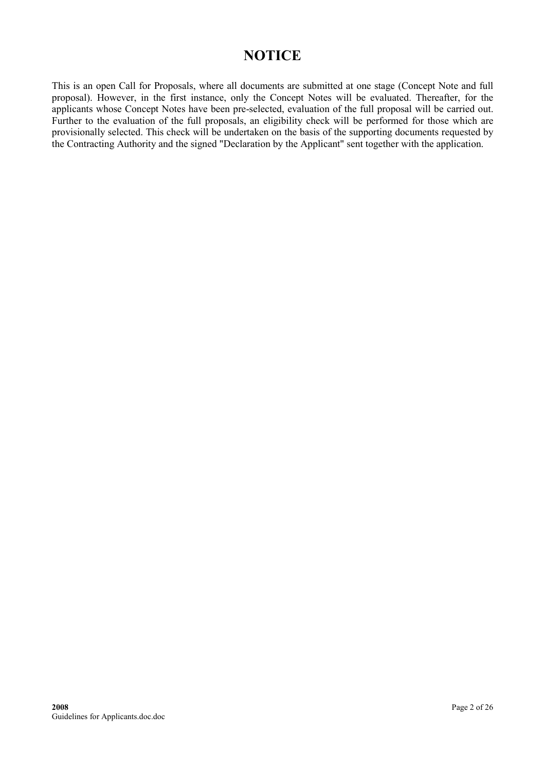# **NOTICE**

This is an open Call for Proposals, where all documents are submitted at one stage (Concept Note and full proposal). However, in the first instance, only the Concept Notes will be evaluated. Thereafter, for the applicants whose Concept Notes have been pre-selected, evaluation of the full proposal will be carried out. Further to the evaluation of the full proposals, an eligibility check will be performed for those which are provisionally selected. This check will be undertaken on the basis of the supporting documents requested by the Contracting Authority and the signed "Declaration by the Applicant" sent together with the application.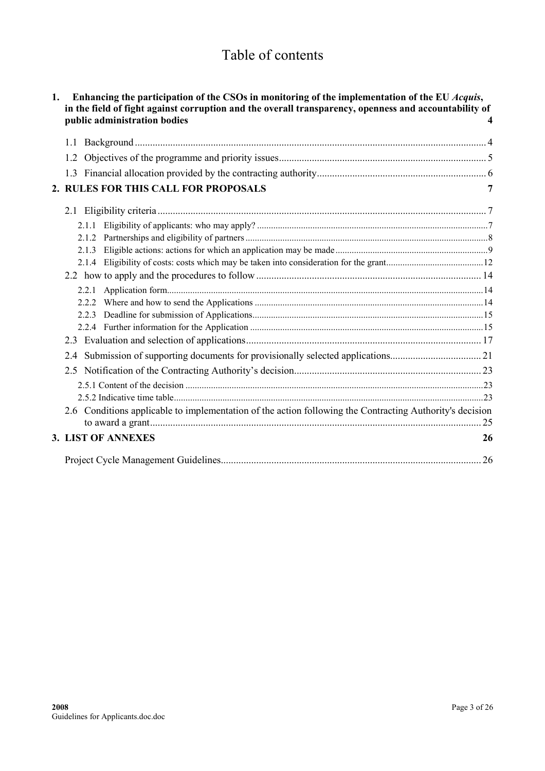# Table of contents

| 1. | Enhancing the participation of the CSOs in monitoring of the implementation of the EU Acquis,<br>in the field of fight against corruption and the overall transparency, openness and accountability of<br>public administration bodies |    |
|----|----------------------------------------------------------------------------------------------------------------------------------------------------------------------------------------------------------------------------------------|----|
|    | 1.1                                                                                                                                                                                                                                    |    |
|    |                                                                                                                                                                                                                                        |    |
|    |                                                                                                                                                                                                                                        |    |
|    | 2. RULES FOR THIS CALL FOR PROPOSALS                                                                                                                                                                                                   |    |
|    |                                                                                                                                                                                                                                        |    |
|    | 2.1.1                                                                                                                                                                                                                                  |    |
|    |                                                                                                                                                                                                                                        |    |
|    | 2.1.3                                                                                                                                                                                                                                  |    |
|    |                                                                                                                                                                                                                                        |    |
|    |                                                                                                                                                                                                                                        |    |
|    | 2.2.1                                                                                                                                                                                                                                  |    |
|    |                                                                                                                                                                                                                                        |    |
|    | 2.2.3                                                                                                                                                                                                                                  |    |
|    |                                                                                                                                                                                                                                        |    |
|    |                                                                                                                                                                                                                                        |    |
|    | 2.4                                                                                                                                                                                                                                    |    |
|    | 2.5                                                                                                                                                                                                                                    |    |
|    |                                                                                                                                                                                                                                        |    |
|    |                                                                                                                                                                                                                                        |    |
|    | 2.6 Conditions applicable to implementation of the action following the Contracting Authority's decision                                                                                                                               |    |
|    | 3. LIST OF ANNEXES                                                                                                                                                                                                                     | 26 |
|    |                                                                                                                                                                                                                                        |    |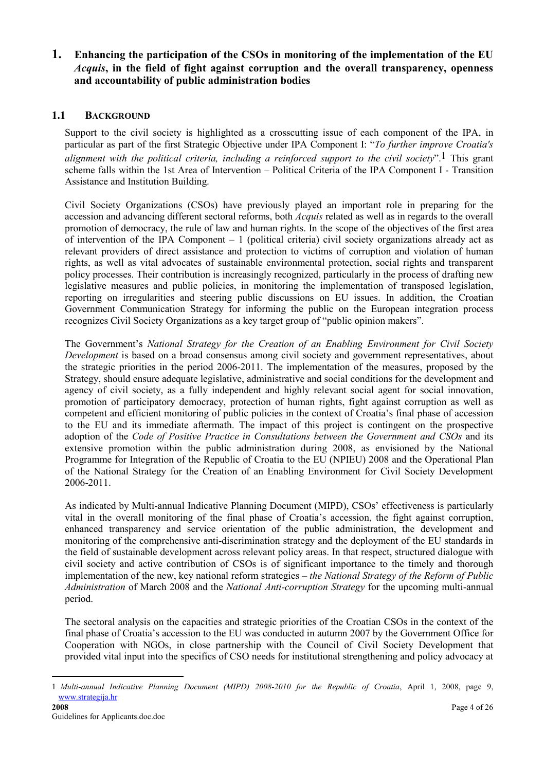### <span id="page-3-0"></span>1. Enhancing the participation of the CSOs in monitoring of the implementation of the EU Acquis, in the field of fight against corruption and the overall transparency, openness and accountability of public administration bodies

### 1.1 BACKGROUND

Support to the civil society is highlighted as a crosscutting issue of each component of the IPA, in particular as part of the first Strategic Objective under IPA Component I: "To further improve Croatia's alignment with the political criteria, including a reinforced support to the civil society".<sup>1</sup> This grant scheme falls within the 1st Area of Intervention – Political Criteria of the IPA Component I - Transition Assistance and Institution Building.

Civil Society Organizations (CSOs) have previously played an important role in preparing for the accession and advancing different sectoral reforms, both Acquis related as well as in regards to the overall promotion of democracy, the rule of law and human rights. In the scope of the objectives of the first area of intervention of the IPA Component  $-1$  (political criteria) civil society organizations already act as relevant providers of direct assistance and protection to victims of corruption and violation of human rights, as well as vital advocates of sustainable environmental protection, social rights and transparent policy processes. Their contribution is increasingly recognized, particularly in the process of drafting new legislative measures and public policies, in monitoring the implementation of transposed legislation, reporting on irregularities and steering public discussions on EU issues. In addition, the Croatian Government Communication Strategy for informing the public on the European integration process recognizes Civil Society Organizations as a key target group of "public opinion makers".

The Government's National Strategy for the Creation of an Enabling Environment for Civil Society Development is based on a broad consensus among civil society and government representatives, about the strategic priorities in the period 2006-2011. The implementation of the measures, proposed by the Strategy, should ensure adequate legislative, administrative and social conditions for the development and agency of civil society, as a fully independent and highly relevant social agent for social innovation, promotion of participatory democracy, protection of human rights, fight against corruption as well as competent and efficient monitoring of public policies in the context of Croatia's final phase of accession to the EU and its immediate aftermath. The impact of this project is contingent on the prospective adoption of the Code of Positive Practice in Consultations between the Government and CSOs and its extensive promotion within the public administration during 2008, as envisioned by the National Programme for Integration of the Republic of Croatia to the EU (NPIEU) 2008 and the Operational Plan of the National Strategy for the Creation of an Enabling Environment for Civil Society Development 2006-2011.

As indicated by Multi-annual Indicative Planning Document (MIPD), CSOs' effectiveness is particularly vital in the overall monitoring of the final phase of Croatia's accession, the fight against corruption, enhanced transparency and service orientation of the public administration, the development and monitoring of the comprehensive anti-discrimination strategy and the deployment of the EU standards in the field of sustainable development across relevant policy areas. In that respect, structured dialogue with civil society and active contribution of CSOs is of significant importance to the timely and thorough implementation of the new, key national reform strategies – the National Strategy of the Reform of Public Administration of March 2008 and the National Anti-corruption Strategy for the upcoming multi-annual period.

The sectoral analysis on the capacities and strategic priorities of the Croatian CSOs in the context of the final phase of Croatia's accession to the EU was conducted in autumn 2007 by the Government Office for Cooperation with NGOs, in close partnership with the Council of Civil Society Development that provided vital input into the specifics of CSO needs for institutional strengthening and policy advocacy at

<sup>1</sup> Multi-annual Indicative Planning Document (MIPD) 2008-2010 for the Republic of Croatia, April 1, 2008, page 9, [www.strategija.hr](http://www.strategija.hr/)<br>2008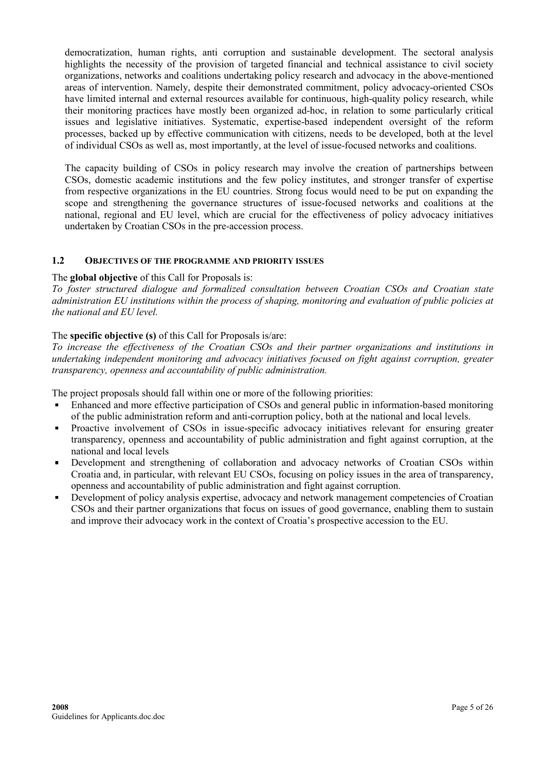<span id="page-4-0"></span>democratization, human rights, anti corruption and sustainable development. The sectoral analysis highlights the necessity of the provision of targeted financial and technical assistance to civil society organizations, networks and coalitions undertaking policy research and advocacy in the above-mentioned areas of intervention. Namely, despite their demonstrated commitment, policy advocacy-oriented CSOs have limited internal and external resources available for continuous, high-quality policy research, while their monitoring practices have mostly been organized ad-hoc, in relation to some particularly critical issues and legislative initiatives. Systematic, expertise-based independent oversight of the reform processes, backed up by effective communication with citizens, needs to be developed, both at the level of individual CSOs as well as, most importantly, at the level of issue-focused networks and coalitions.

The capacity building of CSOs in policy research may involve the creation of partnerships between CSOs, domestic academic institutions and the few policy institutes, and stronger transfer of expertise from respective organizations in the EU countries. Strong focus would need to be put on expanding the scope and strengthening the governance structures of issue-focused networks and coalitions at the national, regional and EU level, which are crucial for the effectiveness of policy advocacy initiatives undertaken by Croatian CSOs in the pre-accession process.

### 1.2 OBJECTIVES OF THE PROGRAMME AND PRIORITY ISSUES

#### The global objective of this Call for Proposals is:

To foster structured dialogue and formalized consultation between Croatian CSOs and Croatian state administration EU institutions within the process of shaping, monitoring and evaluation of public policies at the national and EU level.

### The specific objective (s) of this Call for Proposals is/are:

To increase the effectiveness of the Croatian CSOs and their partner organizations and institutions in undertaking independent monitoring and advocacy initiatives focused on fight against corruption, greater transparency, openness and accountability of public administration.

The project proposals should fall within one or more of the following priorities:

- Enhanced and more effective participation of CSOs and general public in information-based monitoring of the public administration reform and anti-corruption policy, both at the national and local levels.
- Proactive involvement of CSOs in issue-specific advocacy initiatives relevant for ensuring greater transparency, openness and accountability of public administration and fight against corruption, at the national and local levels
- Development and strengthening of collaboration and advocacy networks of Croatian CSOs within Croatia and, in particular, with relevant EU CSOs, focusing on policy issues in the area of transparency, openness and accountability of public administration and fight against corruption.
- Development of policy analysis expertise, advocacy and network management competencies of Croatian CSOs and their partner organizations that focus on issues of good governance, enabling them to sustain and improve their advocacy work in the context of Croatia's prospective accession to the EU.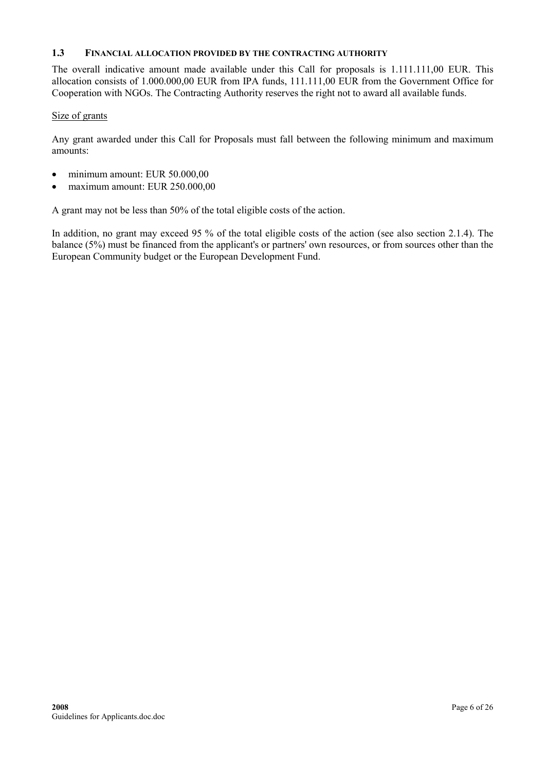#### <span id="page-5-0"></span>1.3 FINANCIAL ALLOCATION PROVIDED BY THE CONTRACTING AUTHORITY

The overall indicative amount made available under this Call for proposals is 1.111.111,00 EUR. This allocation consists of 1.000.000,00 EUR from IPA funds, 111.111,00 EUR from the Government Office for Cooperation with NGOs. The Contracting Authority reserves the right not to award all available funds.

#### Size of grants

Any grant awarded under this Call for Proposals must fall between the following minimum and maximum amounts:

- minimum amount: EUR 50.000,00
- maximum amount: EUR 250.000,00

A grant may not be less than 50% of the total eligible costs of the action.

In addition, no grant may exceed 95 % of the total eligible costs of the action (see also section 2.1.4). The balance (5%) must be financed from the applicant's or partners' own resources, or from sources other than the European Community budget or the European Development Fund.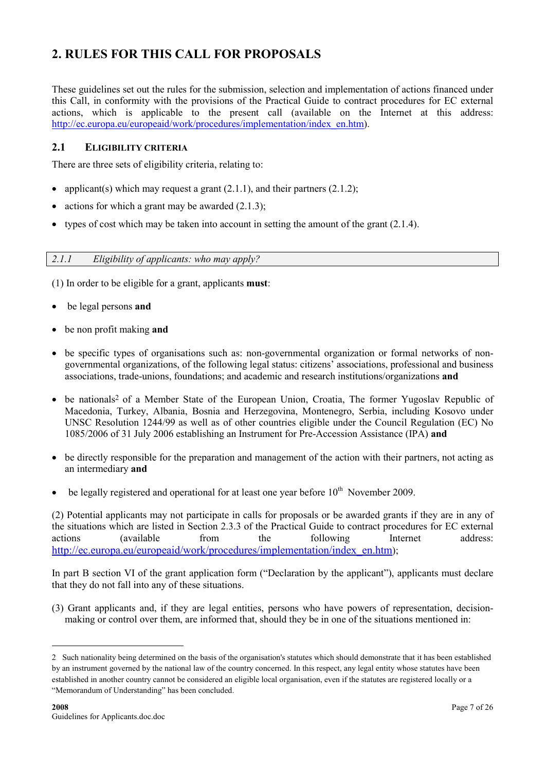# <span id="page-6-0"></span>2. RULES FOR THIS CALL FOR PROPOSALS

These guidelines set out the rules for the submission, selection and implementation of actions financed under this Call, in conformity with the provisions of the Practical Guide to contract procedures for EC external actions, which is applicable to the present call (available on the Internet at this address: [http://ec.europa.eu/europeaid/work/procedures/implementation/index\\_en.htm\)](http://ec.europa.eu/europeaid/work/procedures/implementation/index_en.htm).

### 2.1 ELIGIBILITY CRITERIA

There are three sets of eligibility criteria, relating to:

- applicant(s) which may request a grant  $(2.1.1)$ , and their partners  $(2.1.2)$ ;
- actions for which a grant may be awarded  $(2.1.3)$ ;
- types of cost which may be taken into account in setting the amount of the grant  $(2.1.4)$ .

### 2.1.1 Eligibility of applicants: who may apply?

(1) In order to be eligible for a grant, applicants must:

- be legal persons and
- be non profit making and
- be specific types of organisations such as: non-governmental organization or formal networks of nongovernmental organizations, of the following legal status: citizens' associations, professional and business associations, trade-unions, foundations; and academic and research institutions/organizations and
- be nationals<sup>2</sup> of a Member State of the European Union, Croatia, The former Yugoslav Republic of Macedonia, Turkey, Albania, Bosnia and Herzegovina, Montenegro, Serbia, including Kosovo under UNSC Resolution 1244/99 as well as of other countries eligible under the Council Regulation (EC) No 1085/2006 of 31 July 2006 establishing an Instrument for Pre-Accession Assistance (IPA) and
- be directly responsible for the preparation and management of the action with their partners, not acting as an intermediary and
- be legally registered and operational for at least one year before  $10^{th}$  November 2009.

(2) Potential applicants may not participate in calls for proposals or be awarded grants if they are in any of the situations which are listed in Section 2.3.3 of the Practical Guide to contract procedures for EC external actions (available from the following Internet address: [http://ec.europa.eu/europeaid/work/procedures/implementation/index\\_en.htm](http://ec.europa.eu/europeaid/work/procedures/implementation/index_en.htm));

In part B section VI of the grant application form ("Declaration by the applicant"), applicants must declare that they do not fall into any of these situations.

(3) Grant applicants and, if they are legal entities, persons who have powers of representation, decisionmaking or control over them, are informed that, should they be in one of the situations mentioned in:

<sup>2</sup> Such nationality being determined on the basis of the organisation's statutes which should demonstrate that it has been established by an instrument governed by the national law of the country concerned. In this respect, any legal entity whose statutes have been established in another country cannot be considered an eligible local organisation, even if the statutes are registered locally or a "Memorandum of Understanding" has been concluded.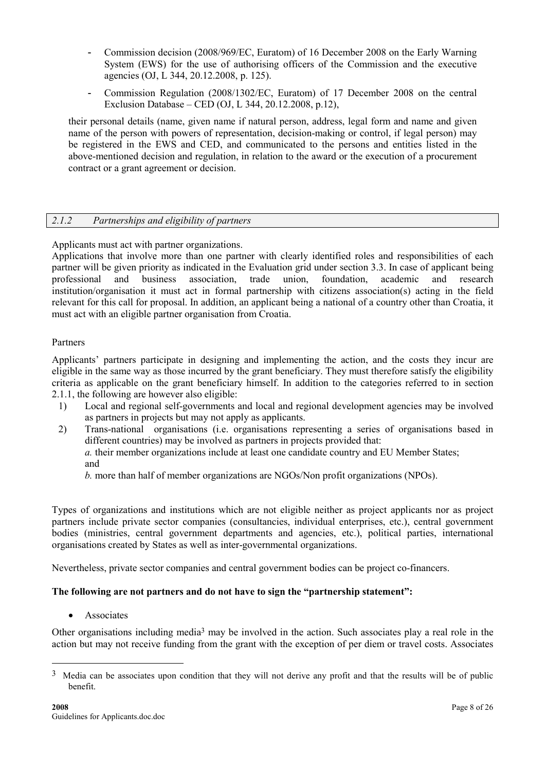- <span id="page-7-0"></span>- Commission decision (2008/969/EC, Euratom) of 16 December 2008 on the Early Warning System (EWS) for the use of authorising officers of the Commission and the executive agencies (OJ, L 344, 20.12.2008, p. 125).
- Commission Regulation (2008/1302/EC, Euratom) of 17 December 2008 on the central Exclusion Database – CED (OJ, L 344, 20.12.2008, p.12),

their personal details (name, given name if natural person, address, legal form and name and given name of the person with powers of representation, decision-making or control, if legal person) may be registered in the EWS and CED, and communicated to the persons and entities listed in the above-mentioned decision and regulation, in relation to the award or the execution of a procurement contract or a grant agreement or decision.

### 2.1.2 Partnerships and eligibility of partners

Applicants must act with partner organizations.

Applications that involve more than one partner with clearly identified roles and responsibilities of each partner will be given priority as indicated in the Evaluation grid under section 3.3. In case of applicant being professional and business association, trade union, foundation, academic and research institution/organisation it must act in formal partnership with citizens association(s) acting in the field relevant for this call for proposal. In addition, an applicant being a national of a country other than Croatia, it must act with an eligible partner organisation from Croatia.

### Partners

Applicants' partners participate in designing and implementing the action, and the costs they incur are eligible in the same way as those incurred by the grant beneficiary. They must therefore satisfy the eligibility criteria as applicable on the grant beneficiary himself. In addition to the categories referred to in section 2.1.1, the following are however also eligible:

- 1) Local and regional self-governments and local and regional development agencies may be involved as partners in projects but may not apply as applicants.
- 2) Trans-national organisations (i.e. organisations representing a series of organisations based in different countries) may be involved as partners in projects provided that:

a. their member organizations include at least one candidate country and EU Member States; and

b. more than half of member organizations are NGOs/Non profit organizations (NPOs).

Types of organizations and institutions which are not eligible neither as project applicants nor as project partners include private sector companies (consultancies, individual enterprises, etc.), central government bodies (ministries, central government departments and agencies, etc.), political parties, international organisations created by States as well as inter-governmental organizations.

Nevertheless, private sector companies and central government bodies can be project co-financers.

### The following are not partners and do not have to sign the "partnership statement":

**Associates** 

 $\overline{a}$ 

Other organisations including media3 may be involved in the action. Such associates play a real role in the action but may not receive funding from the grant with the exception of per diem or travel costs. Associates

<sup>&</sup>lt;sup>3</sup> Media can be associates upon condition that they will not derive any profit and that the results will be of public benefit.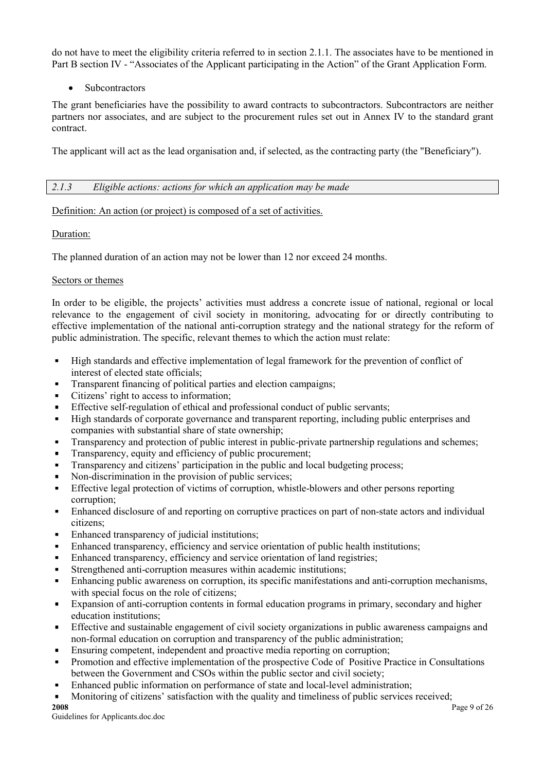<span id="page-8-0"></span>do not have to meet the eligibility criteria referred to in section 2.1.1. The associates have to be mentioned in Part B section IV - "Associates of the Applicant participating in the Action" of the Grant Application Form.

### • Subcontractors

The grant beneficiaries have the possibility to award contracts to subcontractors. Subcontractors are neither partners nor associates, and are subject to the procurement rules set out in Annex IV to the standard grant contract.

The applicant will act as the lead organisation and, if selected, as the contracting party (the "Beneficiary").

### 2.1.3 Eligible actions: actions for which an application may be made

### Definition: An action (or project) is composed of a set of activities.

### Duration:

The planned duration of an action may not be lower than 12 nor exceed 24 months.

### Sectors or themes

In order to be eligible, the projects' activities must address a concrete issue of national, regional or local relevance to the engagement of civil society in monitoring, advocating for or directly contributing to effective implementation of the national anti-corruption strategy and the national strategy for the reform of public administration. The specific, relevant themes to which the action must relate:

- High standards and effective implementation of legal framework for the prevention of conflict of interest of elected state officials;
- Transparent financing of political parties and election campaigns;
- Citizens' right to access to information;
- Effective self-regulation of ethical and professional conduct of public servants;
- High standards of corporate governance and transparent reporting, including public enterprises and companies with substantial share of state ownership;
- **Transparency and protection of public interest in public-private partnership regulations and schemes;**
- Transparency, equity and efficiency of public procurement;
- Transparency and citizens' participation in the public and local budgeting process;
- Non-discrimination in the provision of public services;
- **Effective legal protection of victims of corruption, whistle-blowers and other persons reporting** corruption;
- Enhanced disclosure of and reporting on corruptive practices on part of non-state actors and individual citizens;
- Enhanced transparency of judicial institutions;
- Enhanced transparency, efficiency and service orientation of public health institutions;
- Enhanced transparency, efficiency and service orientation of land registries;
- Strengthened anti-corruption measures within academic institutions;
- Enhancing public awareness on corruption, its specific manifestations and anti-corruption mechanisms, with special focus on the role of citizens;
- Expansion of anti-corruption contents in formal education programs in primary, secondary and higher education institutions;
- Effective and sustainable engagement of civil society organizations in public awareness campaigns and non-formal education on corruption and transparency of the public administration;
- Ensuring competent, independent and proactive media reporting on corruption;
- Promotion and effective implementation of the prospective Code of Positive Practice in Consultations between the Government and CSOs within the public sector and civil society;
- Enhanced public information on performance of state and local-level administration;
- Monitoring of citizens' satisfaction with the quality and timeliness of public services received;<br>2008<br>Page 9 of 26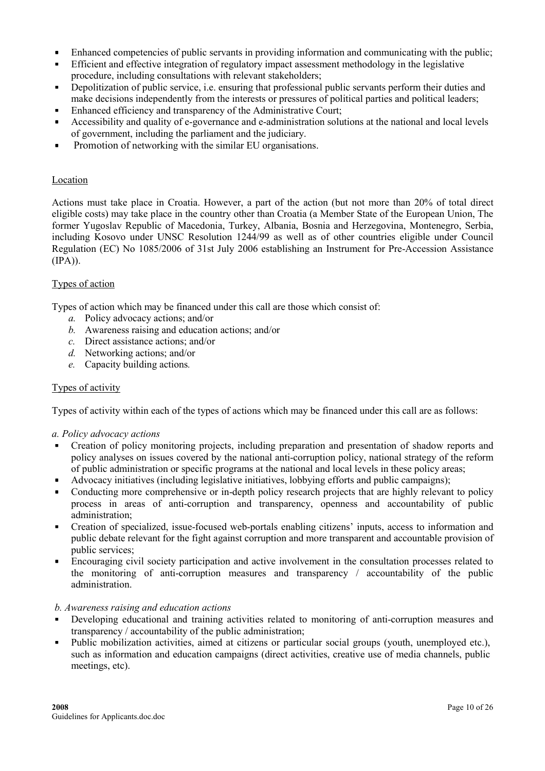- Enhanced competencies of public servants in providing information and communicating with the public;
- Efficient and effective integration of regulatory impact assessment methodology in the legislative procedure, including consultations with relevant stakeholders;
- Depolitization of public service, i.e. ensuring that professional public servants perform their duties and make decisions independently from the interests or pressures of political parties and political leaders;
- Enhanced efficiency and transparency of the Administrative Court;
- Accessibility and quality of e-governance and e-administration solutions at the national and local levels of government, including the parliament and the judiciary.
- Promotion of networking with the similar EU organisations.

#### Location

Actions must take place in Croatia. However, a part of the action (but not more than 20% of total direct eligible costs) may take place in the country other than Croatia (a Member State of the European Union, The former Yugoslav Republic of Macedonia, Turkey, Albania, Bosnia and Herzegovina, Montenegro, Serbia, including Kosovo under UNSC Resolution 1244/99 as well as of other countries eligible under Council Regulation (EC) No 1085/2006 of 31st July 2006 establishing an Instrument for Pre-Accession Assistance (IPA)).

#### Types of action

Types of action which may be financed under this call are those which consist of:

- a. Policy advocacy actions; and/or
- b. Awareness raising and education actions; and/or
- c. Direct assistance actions; and/or
- d. Networking actions; and/or
- e. Capacity building actions.

#### Types of activity

Types of activity within each of the types of actions which may be financed under this call are as follows:

#### a. Policy advocacy actions

- Creation of policy monitoring projects, including preparation and presentation of shadow reports and policy analyses on issues covered by the national anti-corruption policy, national strategy of the reform of public administration or specific programs at the national and local levels in these policy areas;
- Advocacy initiatives (including legislative initiatives, lobbying efforts and public campaigns);
- Conducting more comprehensive or in-depth policy research projects that are highly relevant to policy process in areas of anti-corruption and transparency, openness and accountability of public administration;
- Creation of specialized, issue-focused web-portals enabling citizens' inputs, access to information and public debate relevant for the fight against corruption and more transparent and accountable provision of public services;
- Encouraging civil society participation and active involvement in the consultation processes related to the monitoring of anti-corruption measures and transparency / accountability of the public administration.

#### b. Awareness raising and education actions

- Developing educational and training activities related to monitoring of anti-corruption measures and transparency / accountability of the public administration;
- Public mobilization activities, aimed at citizens or particular social groups (youth, unemployed etc.), such as information and education campaigns (direct activities, creative use of media channels, public meetings, etc).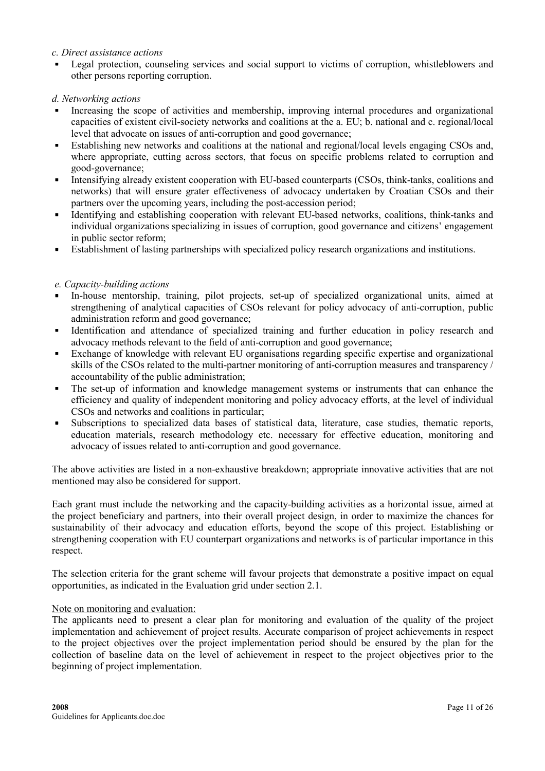#### c. Direct assistance actions

 Legal protection, counseling services and social support to victims of corruption, whistleblowers and other persons reporting corruption.

### d. Networking actions

- Increasing the scope of activities and membership, improving internal procedures and organizational capacities of existent civil-society networks and coalitions at the a. EU; b. national and c. regional/local level that advocate on issues of anti-corruption and good governance;
- Establishing new networks and coalitions at the national and regional/local levels engaging CSOs and, where appropriate, cutting across sectors, that focus on specific problems related to corruption and good-governance;
- Intensifying already existent cooperation with EU-based counterparts (CSOs, think-tanks, coalitions and networks) that will ensure grater effectiveness of advocacy undertaken by Croatian CSOs and their partners over the upcoming years, including the post-accession period;
- Identifying and establishing cooperation with relevant EU-based networks, coalitions, think-tanks and individual organizations specializing in issues of corruption, good governance and citizens' engagement in public sector reform;
- Establishment of lasting partnerships with specialized policy research organizations and institutions.

### e. Capacity-building actions

- In-house mentorship, training, pilot projects, set-up of specialized organizational units, aimed at strengthening of analytical capacities of CSOs relevant for policy advocacy of anti-corruption, public administration reform and good governance;
- Identification and attendance of specialized training and further education in policy research and advocacy methods relevant to the field of anti-corruption and good governance;
- Exchange of knowledge with relevant EU organisations regarding specific expertise and organizational skills of the CSOs related to the multi-partner monitoring of anti-corruption measures and transparency / accountability of the public administration;
- The set-up of information and knowledge management systems or instruments that can enhance the efficiency and quality of independent monitoring and policy advocacy efforts, at the level of individual CSOs and networks and coalitions in particular;
- Subscriptions to specialized data bases of statistical data, literature, case studies, thematic reports, education materials, research methodology etc. necessary for effective education, monitoring and advocacy of issues related to anti-corruption and good governance.

The above activities are listed in a non-exhaustive breakdown; appropriate innovative activities that are not mentioned may also be considered for support.

Each grant must include the networking and the capacity-building activities as a horizontal issue, aimed at the project beneficiary and partners, into their overall project design, in order to maximize the chances for sustainability of their advocacy and education efforts, beyond the scope of this project. Establishing or strengthening cooperation with EU counterpart organizations and networks is of particular importance in this respect.

The selection criteria for the grant scheme will favour projects that demonstrate a positive impact on equal opportunities, as indicated in the Evaluation grid under section 2.1.

#### Note on monitoring and evaluation:

The applicants need to present a clear plan for monitoring and evaluation of the quality of the project implementation and achievement of project results. Accurate comparison of project achievements in respect to the project objectives over the project implementation period should be ensured by the plan for the collection of baseline data on the level of achievement in respect to the project objectives prior to the beginning of project implementation.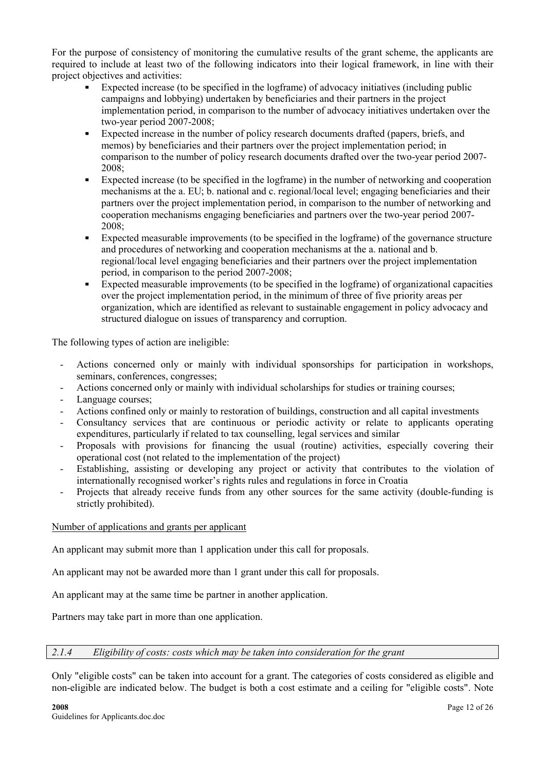<span id="page-11-0"></span>For the purpose of consistency of monitoring the cumulative results of the grant scheme, the applicants are required to include at least two of the following indicators into their logical framework, in line with their project objectives and activities:

- Expected increase (to be specified in the logframe) of advocacy initiatives (including public campaigns and lobbying) undertaken by beneficiaries and their partners in the project implementation period, in comparison to the number of advocacy initiatives undertaken over the two-year period 2007-2008;
- Expected increase in the number of policy research documents drafted (papers, briefs, and memos) by beneficiaries and their partners over the project implementation period; in comparison to the number of policy research documents drafted over the two-year period 2007- 2008;
- Expected increase (to be specified in the logframe) in the number of networking and cooperation mechanisms at the a. EU; b. national and c. regional/local level; engaging beneficiaries and their partners over the project implementation period, in comparison to the number of networking and cooperation mechanisms engaging beneficiaries and partners over the two-year period 2007- 2008;
- Expected measurable improvements (to be specified in the logframe) of the governance structure and procedures of networking and cooperation mechanisms at the a. national and b. regional/local level engaging beneficiaries and their partners over the project implementation period, in comparison to the period 2007-2008;
- Expected measurable improvements (to be specified in the logframe) of organizational capacities over the project implementation period, in the minimum of three of five priority areas per organization, which are identified as relevant to sustainable engagement in policy advocacy and structured dialogue on issues of transparency and corruption.

The following types of action are ineligible:

- Actions concerned only or mainly with individual sponsorships for participation in workshops, seminars, conferences, congresses;
- Actions concerned only or mainly with individual scholarships for studies or training courses;
- Language courses;
- Actions confined only or mainly to restoration of buildings, construction and all capital investments
- Consultancy services that are continuous or periodic activity or relate to applicants operating expenditures, particularly if related to tax counselling, legal services and similar
- Proposals with provisions for financing the usual (routine) activities, especially covering their operational cost (not related to the implementation of the project)
- Establishing, assisting or developing any project or activity that contributes to the violation of internationally recognised worker's rights rules and regulations in force in Croatia
- Projects that already receive funds from any other sources for the same activity (double-funding is strictly prohibited).

### Number of applications and grants per applicant

An applicant may submit more than 1 application under this call for proposals.

An applicant may not be awarded more than 1 grant under this call for proposals.

An applicant may at the same time be partner in another application.

Partners may take part in more than one application.

2.1.4 Eligibility of costs: costs which may be taken into consideration for the grant

Only "eligible costs" can be taken into account for a grant. The categories of costs considered as eligible and non-eligible are indicated below. The budget is both a cost estimate and a ceiling for "eligible costs". Note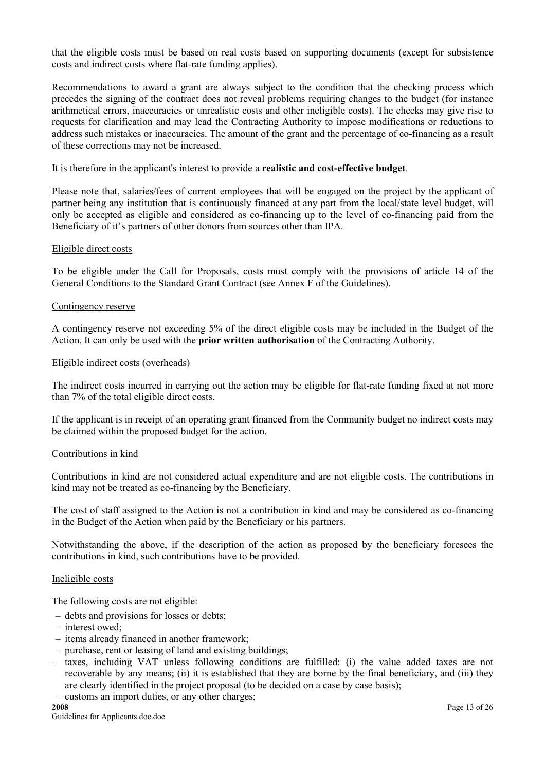that the eligible costs must be based on real costs based on supporting documents (except for subsistence costs and indirect costs where flat-rate funding applies).

Recommendations to award a grant are always subject to the condition that the checking process which precedes the signing of the contract does not reveal problems requiring changes to the budget (for instance arithmetical errors, inaccuracies or unrealistic costs and other ineligible costs). The checks may give rise to requests for clarification and may lead the Contracting Authority to impose modifications or reductions to address such mistakes or inaccuracies. The amount of the grant and the percentage of co-financing as a result of these corrections may not be increased.

It is therefore in the applicant's interest to provide a realistic and cost-effective budget.

Please note that, salaries/fees of current employees that will be engaged on the project by the applicant of partner being any institution that is continuously financed at any part from the local/state level budget, will only be accepted as eligible and considered as co-financing up to the level of co-financing paid from the Beneficiary of it's partners of other donors from sources other than IPA.

#### Eligible direct costs

To be eligible under the Call for Proposals, costs must comply with the provisions of article 14 of the General Conditions to the Standard Grant Contract (see Annex F of the Guidelines).

#### Contingency reserve

A contingency reserve not exceeding 5% of the direct eligible costs may be included in the Budget of the Action. It can only be used with the prior written authorisation of the Contracting Authority.

#### Eligible indirect costs (overheads)

The indirect costs incurred in carrying out the action may be eligible for flat-rate funding fixed at not more than 7% of the total eligible direct costs.

If the applicant is in receipt of an operating grant financed from the Community budget no indirect costs may be claimed within the proposed budget for the action.

#### Contributions in kind

Contributions in kind are not considered actual expenditure and are not eligible costs. The contributions in kind may not be treated as co-financing by the Beneficiary.

The cost of staff assigned to the Action is not a contribution in kind and may be considered as co-financing in the Budget of the Action when paid by the Beneficiary or his partners.

Notwithstanding the above, if the description of the action as proposed by the beneficiary foresees the contributions in kind, such contributions have to be provided.

#### Ineligible costs

The following costs are not eligible:

- debts and provisions for losses or debts;
- interest owed;
- items already financed in another framework;
- purchase, rent or leasing of land and existing buildings;
- taxes, including VAT unless following conditions are fulfilled: (i) the value added taxes are not recoverable by any means; (ii) it is established that they are borne by the final beneficiary, and (iii) they are clearly identified in the project proposal (to be decided on a case by case basis);
- customs an import duties, or any other charges;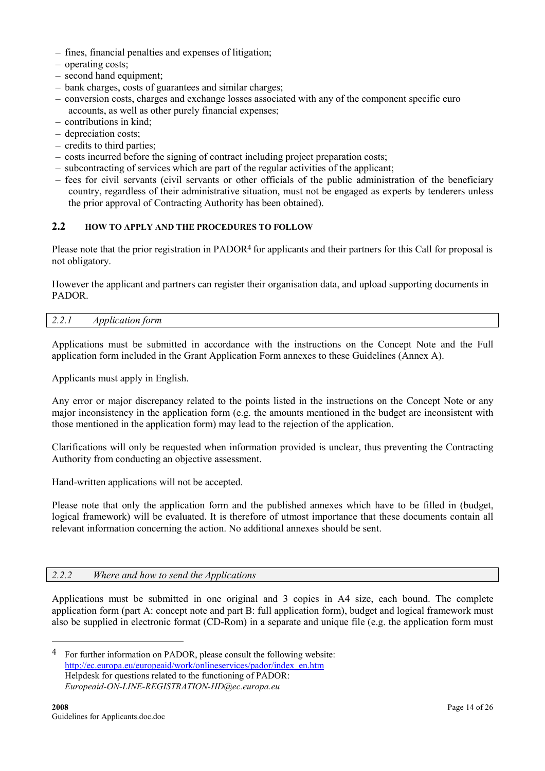- <span id="page-13-0"></span>– fines, financial penalties and expenses of litigation;
- operating costs;
- second hand equipment;
- bank charges, costs of guarantees and similar charges;
- conversion costs, charges and exchange losses associated with any of the component specific euro accounts, as well as other purely financial expenses;
- contributions in kind;
- depreciation costs;
- credits to third parties;
- costs incurred before the signing of contract including project preparation costs;
- subcontracting of services which are part of the regular activities of the applicant;
- fees for civil servants (civil servants or other officials of the public administration of the beneficiary country, regardless of their administrative situation, must not be engaged as experts by tenderers unless the prior approval of Contracting Authority has been obtained).

### 2.2 HOW TO APPLY AND THE PROCEDURES TO FOLLOW

Please note that the prior registration in PADOR<sup>4</sup> for applicants and their partners for this Call for proposal is not obligatory.

However the applicant and partners can register their organisation data, and upload supporting documents in PADOR.

#### 2.2.1 Application form

Applications must be submitted in accordance with the instructions on the Concept Note and the Full application form included in the Grant Application Form annexes to these Guidelines (Annex A).

Applicants must apply in English.

Any error or major discrepancy related to the points listed in the instructions on the Concept Note or any major inconsistency in the application form (e.g. the amounts mentioned in the budget are inconsistent with those mentioned in the application form) may lead to the rejection of the application.

Clarifications will only be requested when information provided is unclear, thus preventing the Contracting Authority from conducting an objective assessment.

Hand-written applications will not be accepted.

Please note that only the application form and the published annexes which have to be filled in (budget, logical framework) will be evaluated. It is therefore of utmost importance that these documents contain all relevant information concerning the action. No additional annexes should be sent.

#### 2.2.2 Where and how to send the Applications

Applications must be submitted in one original and 3 copies in A4 size, each bound. The complete application form (part A: concept note and part B: full application form), budget and logical framework must also be supplied in electronic format (CD-Rom) in a separate and unique file (e.g. the application form must

<sup>4</sup> For further information on PADOR, please consult the following website: [http://ec.europa.eu/europeaid/work/onlineservices/pador/index\\_en.htm](http://ec.europa.eu/europeaid/work/onlineservices/pador/index_en.htm) Helpdesk for questions related to the functioning of PADOR: Europeaid-ON-LINE-REGISTRATION-HD@ec.europa.eu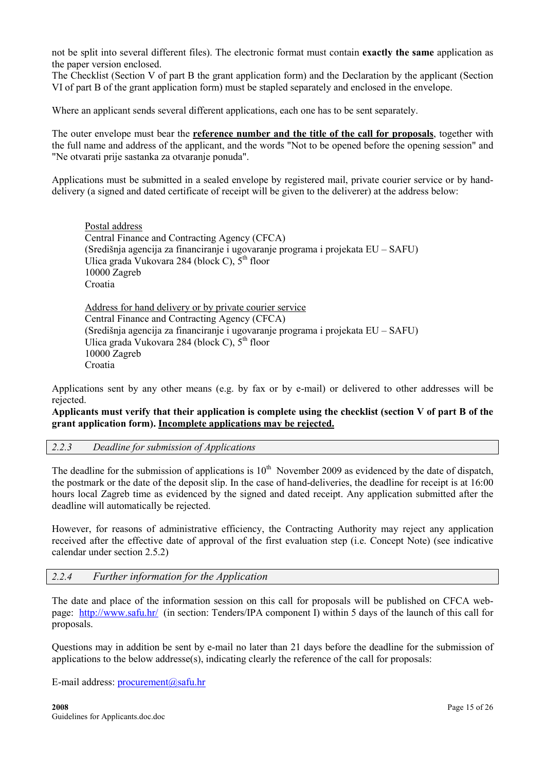<span id="page-14-0"></span>not be split into several different files). The electronic format must contain exactly the same application as the paper version enclosed.

The Checklist (Section V of part B the grant application form) and the Declaration by the applicant (Section VI of part B of the grant application form) must be stapled separately and enclosed in the envelope.

Where an applicant sends several different applications, each one has to be sent separately.

The outer envelope must bear the reference number and the title of the call for proposals, together with the full name and address of the applicant, and the words "Not to be opened before the opening session" and "Ne otvarati prije sastanka za otvaranje ponuda".

Applications must be submitted in a sealed envelope by registered mail, private courier service or by handdelivery (a signed and dated certificate of receipt will be given to the deliverer) at the address below:

Postal address Central Finance and Contracting Agency (CFCA) (Središnja agencija za financiranje i ugovaranje programa i projekata EU – SAFU) Ulica grada Vukovara 284 (block C),  $5<sup>th</sup>$  floor 10000 Zagreb Croatia

Address for hand delivery or by private courier service Central Finance and Contracting Agency (CFCA) (Središnja agencija za financiranje i ugovaranje programa i projekata EU – SAFU) Ulica grada Vukovara 284 (block C),  $5<sup>th</sup>$  floor 10000 Zagreb Croatia

Applications sent by any other means (e.g. by fax or by e-mail) or delivered to other addresses will be rejected.

### Applicants must verify that their application is complete using the checklist (section V of part B of the grant application form). Incomplete applications may be rejected.

#### 2.2.3 Deadline for submission of Applications

The deadline for the submission of applications is  $10^{th}$  November 2009 as evidenced by the date of dispatch, the postmark or the date of the deposit slip. In the case of hand-deliveries, the deadline for receipt is at 16:00 hours local Zagreb time as evidenced by the signed and dated receipt. Any application submitted after the deadline will automatically be rejected.

However, for reasons of administrative efficiency, the Contracting Authority may reject any application received after the effective date of approval of the first evaluation step (i.e. Concept Note) (see indicative calendar under section 2.5.2)

#### 2.2.4 Further information for the Application

The date and place of the information session on this call for proposals will be published on CFCA webpage: <http://www.safu.hr/>(in section: Tenders/IPA component I) within 5 days of the launch of this call for proposals.

Questions may in addition be sent by e-mail no later than 21 days before the deadline for the submission of applications to the below addresse(s), indicating clearly the reference of the call for proposals:

E-mail address: [procurement@safu.hr](mailto:procurement@safu.hr)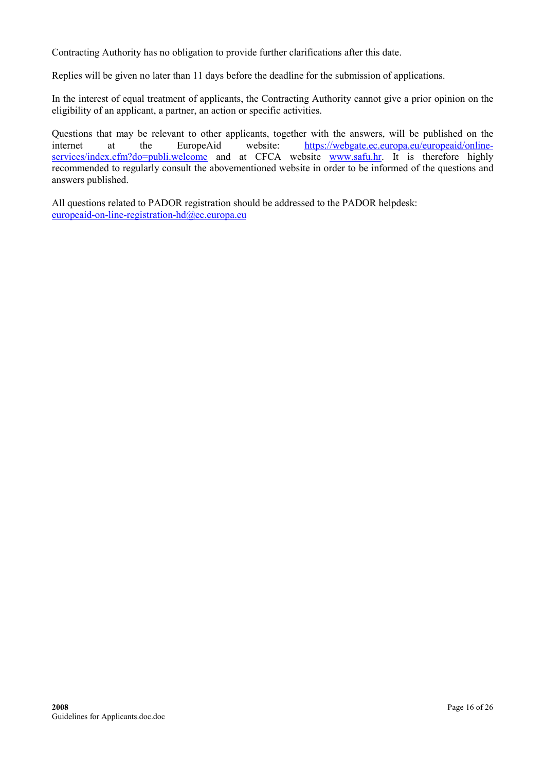Contracting Authority has no obligation to provide further clarifications after this date.

Replies will be given no later than 11 days before the deadline for the submission of applications.

In the interest of equal treatment of applicants, the Contracting Authority cannot give a prior opinion on the eligibility of an applicant, a partner, an action or specific activities.

Questions that may be relevant to other applicants, together with the answers, will be published on the internet at the EuropeAid website: [https://webgate.ec.europa.eu/europeaid/online](https://webgate.ec.europa.eu/europeaid/online-services/index.cfm?do=publi.welcome)[services/index.cfm?do=publi.welcome](https://webgate.ec.europa.eu/europeaid/online-services/index.cfm?do=publi.welcome) and at CFCA website [www.safu.hr.](http://www.safu.hr/) It is therefore highly recommended to regularly consult the abovementioned website in order to be informed of the questions and answers published.

All questions related to PADOR registration should be addressed to the PADOR helpdesk: [europeaid-on-line-registration-hd@ec.europa.eu](mailto:europeaid-on-line-registration-hd@ec.europa.eu)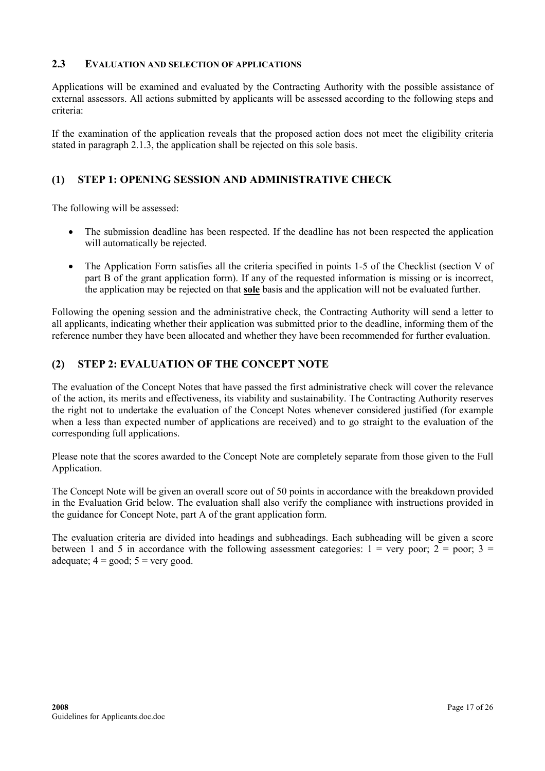### <span id="page-16-0"></span>2.3 EVALUATION AND SELECTION OF APPLICATIONS

Applications will be examined and evaluated by the Contracting Authority with the possible assistance of external assessors. All actions submitted by applicants will be assessed according to the following steps and criteria:

If the examination of the application reveals that the proposed action does not meet the eligibility criteria stated in paragraph 2.1.3, the application shall be rejected on this sole basis.

## (1) STEP 1: OPENING SESSION AND ADMINISTRATIVE CHECK

The following will be assessed:

- The submission deadline has been respected. If the deadline has not been respected the application will automatically be rejected.
- The Application Form satisfies all the criteria specified in points 1-5 of the Checklist (section V of part B of the grant application form). If any of the requested information is missing or is incorrect, the application may be rejected on that sole basis and the application will not be evaluated further.

Following the opening session and the administrative check, the Contracting Authority will send a letter to all applicants, indicating whether their application was submitted prior to the deadline, informing them of the reference number they have been allocated and whether they have been recommended for further evaluation.

### (2) STEP 2: EVALUATION OF THE CONCEPT NOTE

The evaluation of the Concept Notes that have passed the first administrative check will cover the relevance of the action, its merits and effectiveness, its viability and sustainability. The Contracting Authority reserves the right not to undertake the evaluation of the Concept Notes whenever considered justified (for example when a less than expected number of applications are received) and to go straight to the evaluation of the corresponding full applications.

Please note that the scores awarded to the Concept Note are completely separate from those given to the Full Application.

The Concept Note will be given an overall score out of 50 points in accordance with the breakdown provided in the Evaluation Grid below. The evaluation shall also verify the compliance with instructions provided in the guidance for Concept Note, part A of the grant application form.

The evaluation criteria are divided into headings and subheadings. Each subheading will be given a score between 1 and 5 in accordance with the following assessment categories:  $1 =$  very poor;  $2 =$  poor;  $3 =$ adequate;  $4 = \text{good}$ ;  $5 = \text{very good}$ .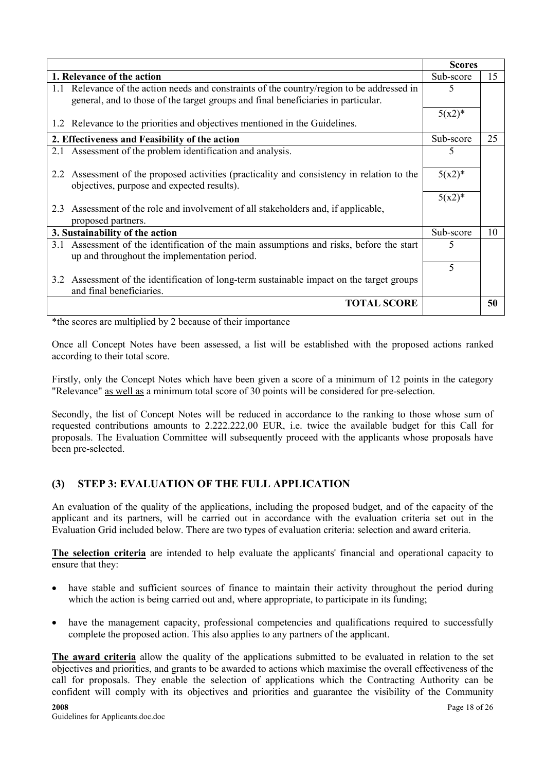|     |                                                                                            | <b>Scores</b> |    |
|-----|--------------------------------------------------------------------------------------------|---------------|----|
|     | 1. Relevance of the action                                                                 | Sub-score     | 15 |
|     | 1.1 Relevance of the action needs and constraints of the country/region to be addressed in | 5             |    |
|     | general, and to those of the target groups and final beneficiaries in particular.          |               |    |
|     |                                                                                            | $5(x2)^*$     |    |
|     | 1.2 Relevance to the priorities and objectives mentioned in the Guidelines.                |               |    |
|     | 2. Effectiveness and Feasibility of the action                                             | Sub-score     | 25 |
|     | 2.1 Assessment of the problem identification and analysis.                                 | 5             |    |
|     |                                                                                            |               |    |
|     | 2.2 Assessment of the proposed activities (practicality and consistency in relation to the | $5(x2)^{*}$   |    |
|     | objectives, purpose and expected results).                                                 |               |    |
|     |                                                                                            | $5(x2)^*$     |    |
| 23  | Assessment of the role and involvement of all stakeholders and, if applicable,             |               |    |
|     | proposed partners.                                                                         |               |    |
|     | 3. Sustainability of the action                                                            | Sub-score     | 10 |
| 3.1 | Assessment of the identification of the main assumptions and risks, before the start       | 5             |    |
|     | up and throughout the implementation period.                                               |               |    |
|     |                                                                                            | 5             |    |
|     | 3.2 Assessment of the identification of long-term sustainable impact on the target groups  |               |    |
|     | and final beneficiaries.                                                                   |               |    |
|     | <b>TOTAL SCORE</b>                                                                         |               | 50 |

\*the scores are multiplied by 2 because of their importance

Once all Concept Notes have been assessed, a list will be established with the proposed actions ranked according to their total score.

Firstly, only the Concept Notes which have been given a score of a minimum of 12 points in the category "Relevance" as well as a minimum total score of 30 points will be considered for pre-selection.

Secondly, the list of Concept Notes will be reduced in accordance to the ranking to those whose sum of requested contributions amounts to 2.222.222,00 EUR, i.e. twice the available budget for this Call for proposals. The Evaluation Committee will subsequently proceed with the applicants whose proposals have been pre-selected.

### (3) STEP 3: EVALUATION OF THE FULL APPLICATION

An evaluation of the quality of the applications, including the proposed budget, and of the capacity of the applicant and its partners, will be carried out in accordance with the evaluation criteria set out in the Evaluation Grid included below. There are two types of evaluation criteria: selection and award criteria.

The selection criteria are intended to help evaluate the applicants' financial and operational capacity to ensure that they:

- have stable and sufficient sources of finance to maintain their activity throughout the period during which the action is being carried out and, where appropriate, to participate in its funding;
- have the management capacity, professional competencies and qualifications required to successfully complete the proposed action. This also applies to any partners of the applicant.

The award criteria allow the quality of the applications submitted to be evaluated in relation to the set objectives and priorities, and grants to be awarded to actions which maximise the overall effectiveness of the call for proposals. They enable the selection of applications which the Contracting Authority can be confident will comply with its objectives and priorities and guarantee the visibility of the Community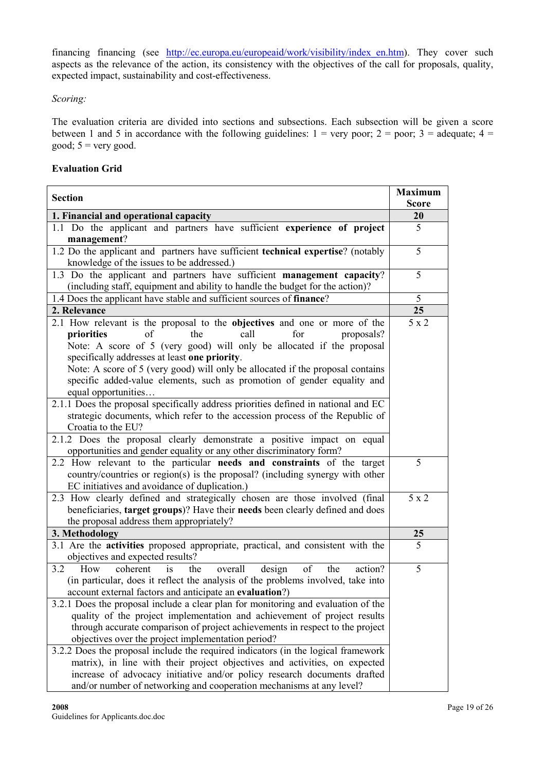financing financing (see [http://ec.europa.eu/europeaid/work/visibility/index\\_en.htm\)](http://ec.europa.eu/europeaid/work/visibility/index_en.htm). They cover such aspects as the relevance of the action, its consistency with the objectives of the call for proposals, quality, expected impact, sustainability and cost-effectiveness.

### Scoring:

The evaluation criteria are divided into sections and subsections. Each subsection will be given a score between 1 and 5 in accordance with the following guidelines:  $1 = \text{very poor}$ ;  $2 = \text{poor}$ ;  $3 = \text{adequate}$ ;  $4 = \text{ceque}$ good;  $5 = \text{very good.}$ 

### Evaluation Grid

| <b>Section</b>                                                                                                                                                                                                                                                                                                                                                                                                                                                                                                                                                                                                                                                                                                                                                                                                                                                         | <b>Maximum</b> |
|------------------------------------------------------------------------------------------------------------------------------------------------------------------------------------------------------------------------------------------------------------------------------------------------------------------------------------------------------------------------------------------------------------------------------------------------------------------------------------------------------------------------------------------------------------------------------------------------------------------------------------------------------------------------------------------------------------------------------------------------------------------------------------------------------------------------------------------------------------------------|----------------|
|                                                                                                                                                                                                                                                                                                                                                                                                                                                                                                                                                                                                                                                                                                                                                                                                                                                                        | <b>Score</b>   |
| 1. Financial and operational capacity                                                                                                                                                                                                                                                                                                                                                                                                                                                                                                                                                                                                                                                                                                                                                                                                                                  | 20             |
| 1.1 Do the applicant and partners have sufficient experience of project<br>management?                                                                                                                                                                                                                                                                                                                                                                                                                                                                                                                                                                                                                                                                                                                                                                                 | 5              |
| 1.2 Do the applicant and partners have sufficient technical expertise? (notably<br>knowledge of the issues to be addressed.)                                                                                                                                                                                                                                                                                                                                                                                                                                                                                                                                                                                                                                                                                                                                           | 5              |
| 1.3 Do the applicant and partners have sufficient management capacity?<br>(including staff, equipment and ability to handle the budget for the action)?                                                                                                                                                                                                                                                                                                                                                                                                                                                                                                                                                                                                                                                                                                                | 5              |
| 1.4 Does the applicant have stable and sufficient sources of finance?                                                                                                                                                                                                                                                                                                                                                                                                                                                                                                                                                                                                                                                                                                                                                                                                  | 5              |
| 2. Relevance                                                                                                                                                                                                                                                                                                                                                                                                                                                                                                                                                                                                                                                                                                                                                                                                                                                           | 25             |
| 2.1 How relevant is the proposal to the objectives and one or more of the<br>the<br>call<br>for<br>priorities<br>of<br>proposals?<br>Note: A score of 5 (very good) will only be allocated if the proposal<br>specifically addresses at least one priority.<br>Note: A score of 5 (very good) will only be allocated if the proposal contains<br>specific added-value elements, such as promotion of gender equality and<br>equal opportunities<br>2.1.1 Does the proposal specifically address priorities defined in national and EC<br>strategic documents, which refer to the accession process of the Republic of<br>Croatia to the EU?<br>2.1.2 Does the proposal clearly demonstrate a positive impact on equal<br>opportunities and gender equality or any other discriminatory form?<br>2.2 How relevant to the particular needs and constraints of the target | 5 x 2<br>5     |
| country/countries or region(s) is the proposal? (including synergy with other<br>EC initiatives and avoidance of duplication.)                                                                                                                                                                                                                                                                                                                                                                                                                                                                                                                                                                                                                                                                                                                                         |                |
| 2.3 How clearly defined and strategically chosen are those involved (final<br>beneficiaries, target groups)? Have their needs been clearly defined and does<br>the proposal address them appropriately?                                                                                                                                                                                                                                                                                                                                                                                                                                                                                                                                                                                                                                                                | 5 x 2          |
| 3. Methodology                                                                                                                                                                                                                                                                                                                                                                                                                                                                                                                                                                                                                                                                                                                                                                                                                                                         | <b>25</b>      |
| 3.1 Are the activities proposed appropriate, practical, and consistent with the<br>objectives and expected results?                                                                                                                                                                                                                                                                                                                                                                                                                                                                                                                                                                                                                                                                                                                                                    | $\overline{5}$ |
| 3.2<br>How<br>coherent<br>of<br>the<br>overall<br>design<br>the<br>action?<br>is<br>(in particular, does it reflect the analysis of the problems involved, take into<br>account external factors and anticipate an evaluation?)<br>3.2.1 Does the proposal include a clear plan for monitoring and evaluation of the<br>quality of the project implementation and achievement of project results<br>through accurate comparison of project achievements in respect to the project<br>objectives over the project implementation period?<br>3.2.2 Does the proposal include the required indicators (in the logical framework<br>matrix), in line with their project objectives and activities, on expected<br>increase of advocacy initiative and/or policy research documents drafted<br>and/or number of networking and cooperation mechanisms at any level?         | 5              |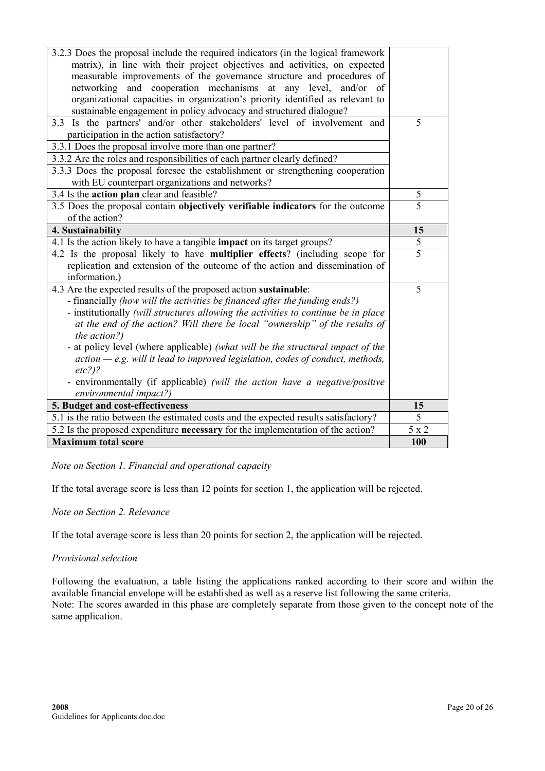| 3.2.3 Does the proposal include the required indicators (in the logical framework   |                |
|-------------------------------------------------------------------------------------|----------------|
| matrix), in line with their project objectives and activities, on expected          |                |
| measurable improvements of the governance structure and procedures of               |                |
| networking and cooperation mechanisms at any level, and/or<br>- of                  |                |
| organizational capacities in organization's priority identified as relevant to      |                |
| sustainable engagement in policy advocacy and structured dialogue?                  |                |
| 3.3 Is the partners' and/or other stakeholders' level of involvement and            | 5              |
| participation in the action satisfactory?                                           |                |
| 3.3.1 Does the proposal involve more than one partner?                              |                |
| 3.3.2 Are the roles and responsibilities of each partner clearly defined?           |                |
|                                                                                     |                |
| 3.3.3 Does the proposal foresee the establishment or strengthening cooperation      |                |
| with EU counterpart organizations and networks?                                     |                |
| 3.4 Is the action plan clear and feasible?                                          | 5              |
| 3.5 Does the proposal contain objectively verifiable indicators for the outcome     | 5              |
| of the action?                                                                      |                |
| 4. Sustainability                                                                   | 15             |
| 4.1 Is the action likely to have a tangible impact on its target groups?            | 5              |
| 4.2 Is the proposal likely to have multiplier effects? (including scope for         | $\overline{5}$ |
| replication and extension of the outcome of the action and dissemination of         |                |
| information.)                                                                       |                |
| 4.3 Are the expected results of the proposed action sustainable:                    | 5              |
| - financially (how will the activities be financed after the funding ends?)         |                |
| - institutionally (will structures allowing the activities to continue be in place  |                |
| at the end of the action? Will there be local "ownership" of the results of         |                |
| the action?)                                                                        |                |
| - at policy level (where applicable) (what will be the structural impact of the     |                |
| $action - e.g.$ will it lead to improved legislation, codes of conduct, methods,    |                |
| $etc?)$ ?                                                                           |                |
|                                                                                     |                |
| - environmentally (if applicable) (will the action have a negative/positive         |                |
| environmental impact?)                                                              |                |
| 5. Budget and cost-effectiveness                                                    | 15             |
| 5.1 is the ratio between the estimated costs and the expected results satisfactory? | 5              |
| 5.2 Is the proposed expenditure necessary for the implementation of the action?     | $5\ge2$        |
| <b>Maximum total score</b>                                                          | 100            |

Note on Section 1. Financial and operational capacity

If the total average score is less than 12 points for section 1, the application will be rejected.

#### Note on Section 2. Relevance

If the total average score is less than 20 points for section 2, the application will be rejected.

#### Provisional selection

Following the evaluation, a table listing the applications ranked according to their score and within the available financial envelope will be established as well as a reserve list following the same criteria. Note: The scores awarded in this phase are completely separate from those given to the concept note of the same application.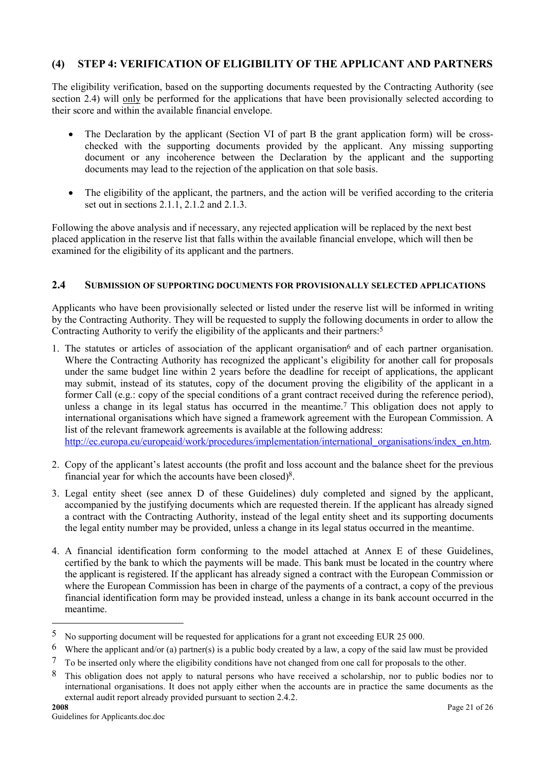## <span id="page-20-0"></span>(4) STEP 4: VERIFICATION OF ELIGIBILITY OF THE APPLICANT AND PARTNERS

The eligibility verification, based on the supporting documents requested by the Contracting Authority (see section 2.4) will only be performed for the applications that have been provisionally selected according to their score and within the available financial envelope.

- The Declaration by the applicant (Section VI of part B the grant application form) will be crosschecked with the supporting documents provided by the applicant. Any missing supporting document or any incoherence between the Declaration by the applicant and the supporting documents may lead to the rejection of the application on that sole basis.
- The eligibility of the applicant, the partners, and the action will be verified according to the criteria set out in sections 2.1.1, 2.1.2 and 2.1.3.

Following the above analysis and if necessary, any rejected application will be replaced by the next best placed application in the reserve list that falls within the available financial envelope, which will then be examined for the eligibility of its applicant and the partners.

### 2.4 SUBMISSION OF SUPPORTING DOCUMENTS FOR PROVISIONALLY SELECTED APPLICATIONS

Applicants who have been provisionally selected or listed under the reserve list will be informed in writing by the Contracting Authority. They will be requested to supply the following documents in order to allow the Contracting Authority to verify the eligibility of the applicants and their partners:<sup>5</sup>

- 1. The statutes or articles of association of the applicant organisation<sup>6</sup> and of each partner organisation. Where the Contracting Authority has recognized the applicant's eligibility for another call for proposals under the same budget line within 2 years before the deadline for receipt of applications, the applicant may submit, instead of its statutes, copy of the document proving the eligibility of the applicant in a former Call (e.g.: copy of the special conditions of a grant contract received during the reference period), unless a change in its legal status has occurred in the meantime.<sup>7</sup> This obligation does not apply to international organisations which have signed a framework agreement with the European Commission. A list of the relevant framework agreements is available at the following address: [http://ec.europa.eu/europeaid/work/procedures/implementation/international\\_organisations/index\\_en.htm.](http://ec.europa.eu/europeaid/work/procedures/implementation/international_organisations/index_en.htm)
- 2. Copy of the applicant's latest accounts (the profit and loss account and the balance sheet for the previous financial year for which the accounts have been closed)8.
- 3. Legal entity sheet (see annex D of these Guidelines) duly completed and signed by the applicant, accompanied by the justifying documents which are requested therein. If the applicant has already signed a contract with the Contracting Authority, instead of the legal entity sheet and its supporting documents the legal entity number may be provided, unless a change in its legal status occurred in the meantime.
- 4. A financial identification form conforming to the model attached at Annex E of these Guidelines, certified by the bank to which the payments will be made. This bank must be located in the country where the applicant is registered. If the applicant has already signed a contract with the European Commission or where the European Commission has been in charge of the payments of a contract, a copy of the previous financial identification form may be provided instead, unless a change in its bank account occurred in the meantime.

<sup>5</sup> No supporting document will be requested for applications for a grant not exceeding EUR 25 000.

<sup>&</sup>lt;sup>6</sup> Where the applicant and/or (a) partner(s) is a public body created by a law, a copy of the said law must be provided

<sup>7</sup> To be inserted only where the eligibility conditions have not changed from one call for proposals to the other.

<sup>8</sup> This obligation does not apply to natural persons who have received a scholarship, nor to public bodies nor to international organisations. It does not apply either when the accounts are in practice the same documents as the external audit report already provided pursuant to section 2.4.2.<br>2008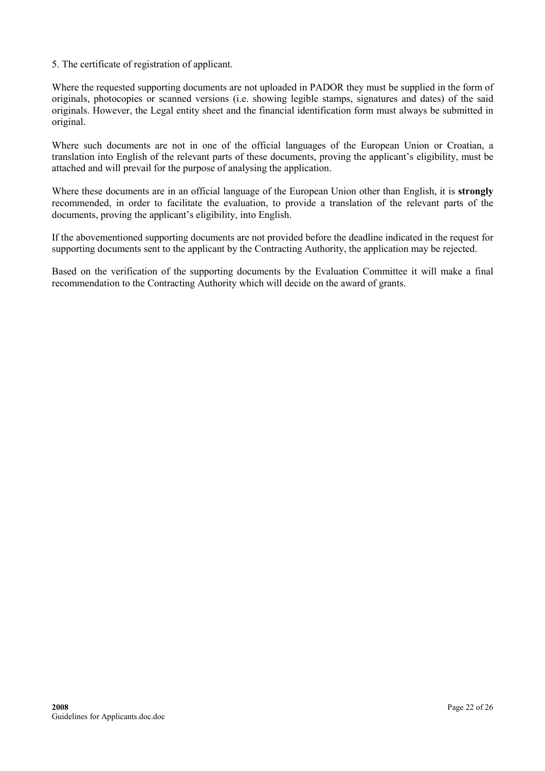5. The certificate of registration of applicant.

Where the requested supporting documents are not uploaded in PADOR they must be supplied in the form of originals, photocopies or scanned versions (i.e. showing legible stamps, signatures and dates) of the said originals. However, the Legal entity sheet and the financial identification form must always be submitted in original.

Where such documents are not in one of the official languages of the European Union or Croatian, a translation into English of the relevant parts of these documents, proving the applicant's eligibility, must be attached and will prevail for the purpose of analysing the application.

Where these documents are in an official language of the European Union other than English, it is strongly recommended, in order to facilitate the evaluation, to provide a translation of the relevant parts of the documents, proving the applicant's eligibility, into English.

If the abovementioned supporting documents are not provided before the deadline indicated in the request for supporting documents sent to the applicant by the Contracting Authority, the application may be rejected.

Based on the verification of the supporting documents by the Evaluation Committee it will make a final recommendation to the Contracting Authority which will decide on the award of grants.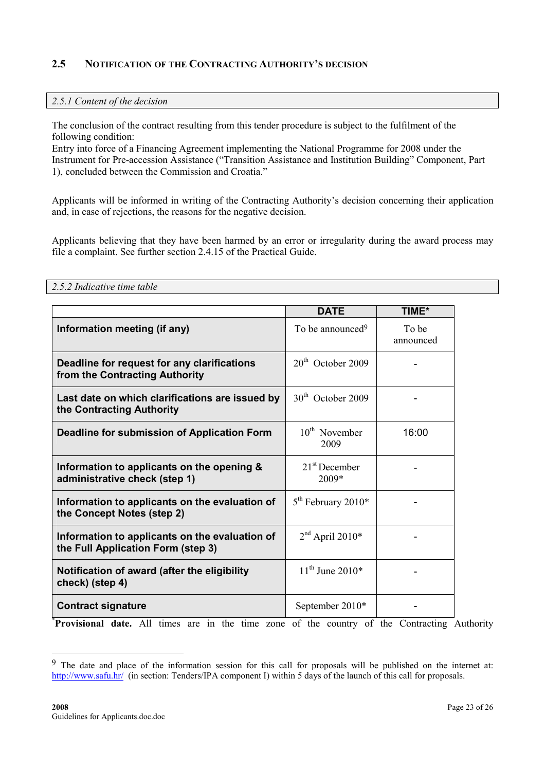### <span id="page-22-0"></span>2.5 NOTIFICATION OF THE CONTRACTING AUTHORITY'S DECISION

#### 2.5.1 Content of the decision

The conclusion of the contract resulting from this tender procedure is subject to the fulfilment of the following condition:

Entry into force of a Financing Agreement implementing the National Programme for 2008 under the Instrument for Pre-accession Assistance ("Transition Assistance and Institution Building" Component, Part 1), concluded between the Commission and Croatia."

Applicants will be informed in writing of the Contracting Authority's decision concerning their application and, in case of rejections, the reasons for the negative decision.

Applicants believing that they have been harmed by an error or irregularity during the award process may file a complaint. See further section 2.4.15 of the Practical Guide.

| 2.5.2 Indicative time table                                                          |                               |                    |
|--------------------------------------------------------------------------------------|-------------------------------|--------------------|
|                                                                                      | <b>DATE</b>                   | TIME*              |
| Information meeting (if any)                                                         | To be announced <sup>9</sup>  | To be<br>announced |
| Deadline for request for any clarifications<br>from the Contracting Authority        | $20th$ October 2009           |                    |
| Last date on which clarifications are issued by<br>the Contracting Authority         | 30 <sup>th</sup> October 2009 |                    |
| Deadline for submission of Application Form                                          | $10th$ November<br>2009       | 16:00              |
| Information to applicants on the opening &<br>administrative check (step 1)          | $21st$ December<br>2009*      |                    |
| Information to applicants on the evaluation of<br>the Concept Notes (step 2)         | $5th$ February 2010*          |                    |
| Information to applicants on the evaluation of<br>the Full Application Form (step 3) | $2nd$ April 2010*             |                    |
| Notification of award (after the eligibility<br>check) (step 4)                      | $11^{th}$ June 2010*          |                    |
| <b>Contract signature</b>                                                            | September 2010*               |                    |

\*Provisional date. All times are in the time zone of the country of the Contracting Authority

<sup>&</sup>lt;sup>9</sup> The date and place of the information session for this call for proposals will be published on the internet at: <http://www.safu.hr/>(in section: Tenders/IPA component I) within 5 days of the launch of this call for proposals.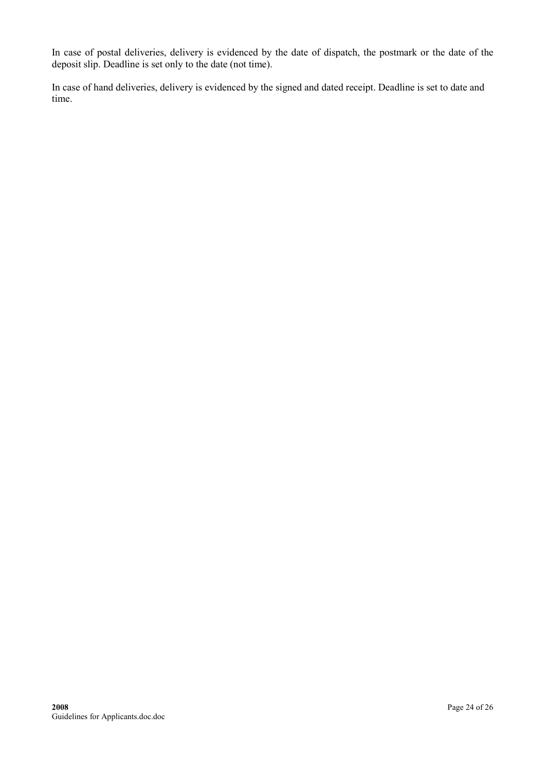In case of postal deliveries, delivery is evidenced by the date of dispatch, the postmark or the date of the deposit slip. Deadline is set only to the date (not time).

In case of hand deliveries, delivery is evidenced by the signed and dated receipt. Deadline is set to date and time.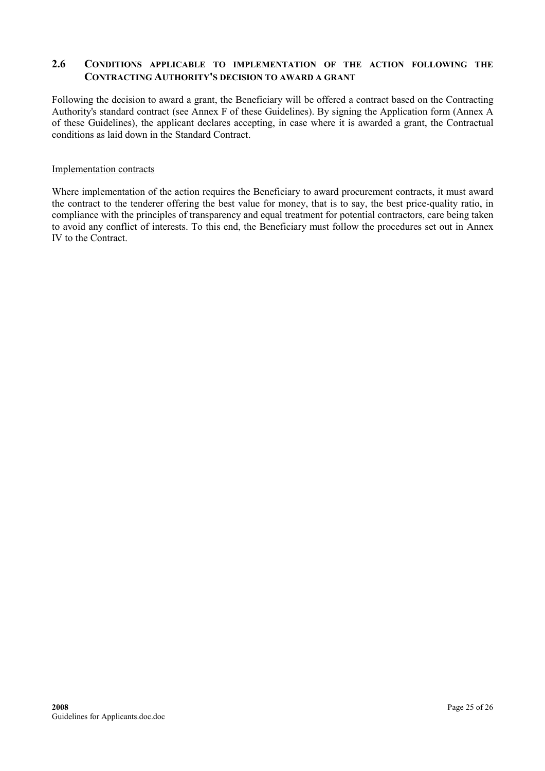### <span id="page-24-0"></span>2.6 CONDITIONS APPLICABLE TO IMPLEMENTATION OF THE ACTION FOLLOWING THE CONTRACTING AUTHORITY'S DECISION TO AWARD A GRANT

Following the decision to award a grant, the Beneficiary will be offered a contract based on the Contracting Authority's standard contract (see Annex F of these Guidelines). By signing the Application form (Annex A of these Guidelines), the applicant declares accepting, in case where it is awarded a grant, the Contractual conditions as laid down in the Standard Contract.

#### Implementation contracts

Where implementation of the action requires the Beneficiary to award procurement contracts, it must award the contract to the tenderer offering the best value for money, that is to say, the best price-quality ratio, in compliance with the principles of transparency and equal treatment for potential contractors, care being taken to avoid any conflict of interests. To this end, the Beneficiary must follow the procedures set out in Annex IV to the Contract.